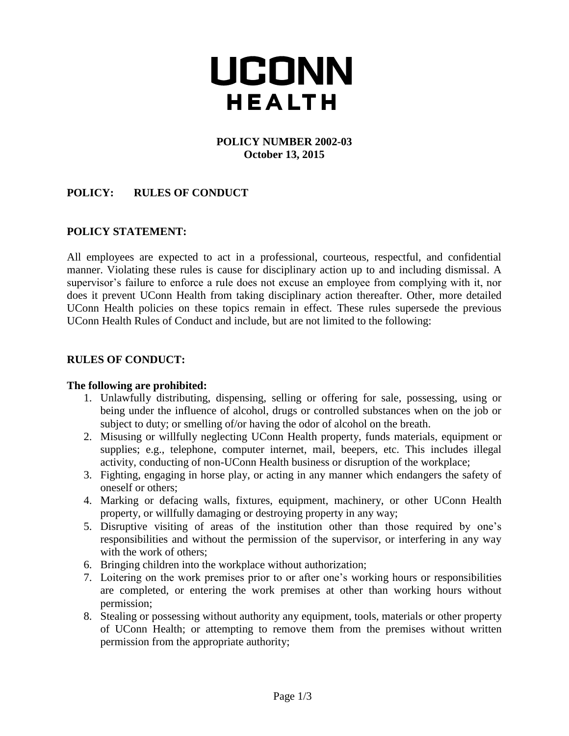# UCONN **HEALTH**

#### **POLICY NUMBER 2002-03 October 13, 2015**

# **POLICY: RULES OF CONDUCT**

## **POLICY STATEMENT:**

All employees are expected to act in a professional, courteous, respectful, and confidential manner. Violating these rules is cause for disciplinary action up to and including dismissal. A supervisor's failure to enforce a rule does not excuse an employee from complying with it, nor does it prevent UConn Health from taking disciplinary action thereafter. Other, more detailed UConn Health policies on these topics remain in effect. These rules supersede the previous UConn Health Rules of Conduct and include, but are not limited to the following:

## **RULES OF CONDUCT:**

#### **The following are prohibited:**

- 1. Unlawfully distributing, dispensing, selling or offering for sale, possessing, using or being under the influence of alcohol, drugs or controlled substances when on the job or subject to duty; or smelling of/or having the odor of alcohol on the breath.
- 2. Misusing or willfully neglecting UConn Health property, funds materials, equipment or supplies; e.g., telephone, computer internet, mail, beepers, etc. This includes illegal activity, conducting of non-UConn Health business or disruption of the workplace;
- 3. Fighting, engaging in horse play, or acting in any manner which endangers the safety of oneself or others;
- 4. Marking or defacing walls, fixtures, equipment, machinery, or other UConn Health property, or willfully damaging or destroying property in any way;
- 5. Disruptive visiting of areas of the institution other than those required by one's responsibilities and without the permission of the supervisor, or interfering in any way with the work of others;
- 6. Bringing children into the workplace without authorization;
- 7. Loitering on the work premises prior to or after one's working hours or responsibilities are completed, or entering the work premises at other than working hours without permission;
- 8. Stealing or possessing without authority any equipment, tools, materials or other property of UConn Health; or attempting to remove them from the premises without written permission from the appropriate authority;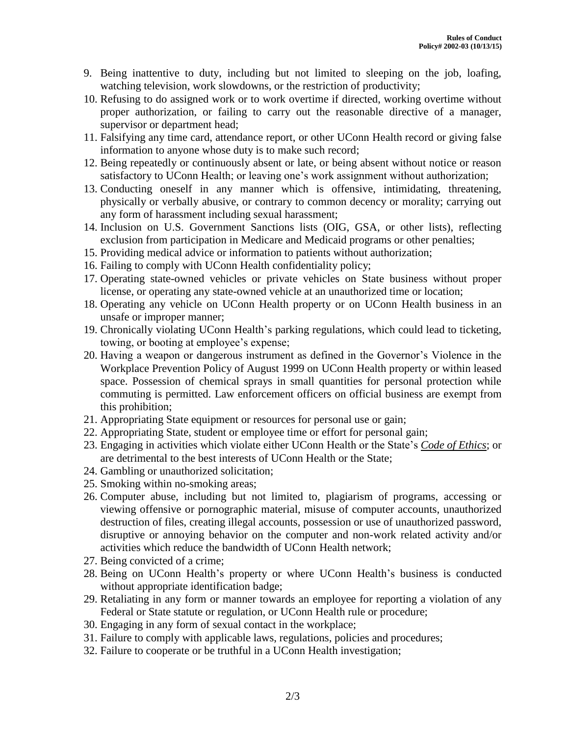- 9. Being inattentive to duty, including but not limited to sleeping on the job, loafing, watching television, work slowdowns, or the restriction of productivity;
- 10. Refusing to do assigned work or to work overtime if directed, working overtime without proper authorization, or failing to carry out the reasonable directive of a manager, supervisor or department head;
- 11. Falsifying any time card, attendance report, or other UConn Health record or giving false information to anyone whose duty is to make such record;
- 12. Being repeatedly or continuously absent or late, or being absent without notice or reason satisfactory to UConn Health; or leaving one's work assignment without authorization;
- 13. Conducting oneself in any manner which is offensive, intimidating, threatening, physically or verbally abusive, or contrary to common decency or morality; carrying out any form of harassment including sexual harassment;
- 14. Inclusion on U.S. Government Sanctions lists (OIG, GSA, or other lists), reflecting exclusion from participation in Medicare and Medicaid programs or other penalties;
- 15. Providing medical advice or information to patients without authorization;
- 16. Failing to comply with UConn Health confidentiality policy;
- 17. Operating state-owned vehicles or private vehicles on State business without proper license, or operating any state-owned vehicle at an unauthorized time or location;
- 18. Operating any vehicle on UConn Health property or on UConn Health business in an unsafe or improper manner;
- 19. Chronically violating UConn Health's parking regulations, which could lead to ticketing, towing, or booting at employee's expense;
- 20. Having a weapon or dangerous instrument as defined in the Governor's Violence in the Workplace Prevention Policy of August 1999 on UConn Health property or within leased space. Possession of chemical sprays in small quantities for personal protection while commuting is permitted. Law enforcement officers on official business are exempt from this prohibition;
- 21. Appropriating State equipment or resources for personal use or gain;
- 22. Appropriating State, student or employee time or effort for personal gain;
- 23. Engaging in activities which violate either UConn Health or the State's *Code of Ethics*; or are detrimental to the best interests of UConn Health or the State;
- 24. Gambling or unauthorized solicitation;
- 25. Smoking within no-smoking areas;
- 26. Computer abuse, including but not limited to, plagiarism of programs, accessing or viewing offensive or pornographic material, misuse of computer accounts, unauthorized destruction of files, creating illegal accounts, possession or use of unauthorized password, disruptive or annoying behavior on the computer and non-work related activity and/or activities which reduce the bandwidth of UConn Health network;
- 27. Being convicted of a crime;
- 28. Being on UConn Health's property or where UConn Health's business is conducted without appropriate identification badge;
- 29. Retaliating in any form or manner towards an employee for reporting a violation of any Federal or State statute or regulation, or UConn Health rule or procedure;
- 30. Engaging in any form of sexual contact in the workplace;
- 31. Failure to comply with applicable laws, regulations, policies and procedures;
- 32. Failure to cooperate or be truthful in a UConn Health investigation;